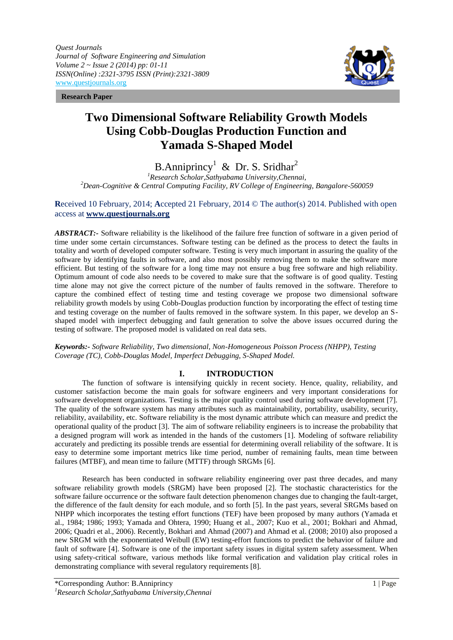*Quest Journals Journal of Software Engineering and Simulation Volume 2 ~ Issue 2 (2014) pp: 01-11 ISSN(Online) :2321-3795 ISSN (Print):2321-3809* www.questjournals.org

**Research Paper**



# **Two Dimensional Software Reliability Growth Models Using Cobb-Douglas Production Function and Yamada S-Shaped Model**

B.Anniprincy<sup>1</sup> & Dr. S. Sridhar<sup>2</sup>

*<sup>1</sup>Research Scholar,Sathyabama University,Chennai, <sup>2</sup>Dean-Cognitive & Central Computing Facility, RV College of Engineering, Bangalore-560059*

# **R**eceived 10 February, 2014; **A**ccepted 21 February, 2014 © The author(s) 2014. Published with open access at **www.questjournals.org**

ABSTRACT:- Software reliability is the likelihood of the failure free function of software in a given period of time under some certain circumstances. Software testing can be defined as the process to detect the faults in totality and worth of developed computer software. Testing is very much important in assuring the quality of the software by identifying faults in software, and also most possibly removing them to make the software more efficient. But testing of the software for a long time may not ensure a bug free software and high reliability. Optimum amount of code also needs to be covered to make sure that the software is of good quality. Testing time alone may not give the correct picture of the number of faults removed in the software. Therefore to capture the combined effect of testing time and testing coverage we propose two dimensional software reliability growth models by using Cobb-Douglas production function by incorporating the effect of testing time and testing coverage on the number of faults removed in the software system. In this paper, we develop an Sshaped model with imperfect debugging and fault generation to solve the above issues occurred during the testing of software. The proposed model is validated on real data sets.

## *Keywords:- Software Reliability, Two dimensional, Non-Homogeneous Poisson Process (NHPP), Testing Coverage (TC), Cobb-Douglas Model, Imperfect Debugging, S-Shaped Model.*

# **I. INTRODUCTION**

The function of software is intensifying quickly in recent society. Hence, quality, reliability, and customer satisfaction become the main goals for software engineers and very important considerations for software development organizations. Testing is the major quality control used during software development [7]. The quality of the software system has many attributes such as maintainability, portability, usability, security, reliability, availability, etc. Software reliability is the most dynamic attribute which can measure and predict the operational quality of the product [3]. The aim of software reliability engineers is to increase the probability that a designed program will work as intended in the hands of the customers [1]. Modeling of software reliability accurately and predicting its possible trends are essential for determining overall reliability of the software. It is easy to determine some important metrics like time period, number of remaining faults, mean time between failures (MTBF), and mean time to failure (MTTF) through SRGMs [6].

Research has been conducted in software reliability engineering over past three decades, and many software reliability growth models (SRGM) have been proposed [2]. The stochastic characteristics for the software failure occurrence or the software fault detection phenomenon changes due to changing the fault-target, the difference of the fault density for each module, and so forth [5]. In the past years, several SRGMs based on NHPP which incorporates the testing effort functions (TEF) have been proposed by many authors (Yamada et al., 1984; 1986; 1993; Yamada and Ohtera, 1990; Huang et al., 2007; Kuo et al., 2001; Bokhari and Ahmad, 2006; Quadri et al., 2006). Recently, Bokhari and Ahmad (2007) and Ahmad et al. (2008; 2010) also proposed a new SRGM with the exponentiated Weibull (EW) testing-effort functions to predict the behavior of failure and fault of software [4]. Software is one of the important safety issues in digital system safety assessment. When using safety-critical software, various methods like formal verification and validation play critical roles in demonstrating compliance with several regulatory requirements [8].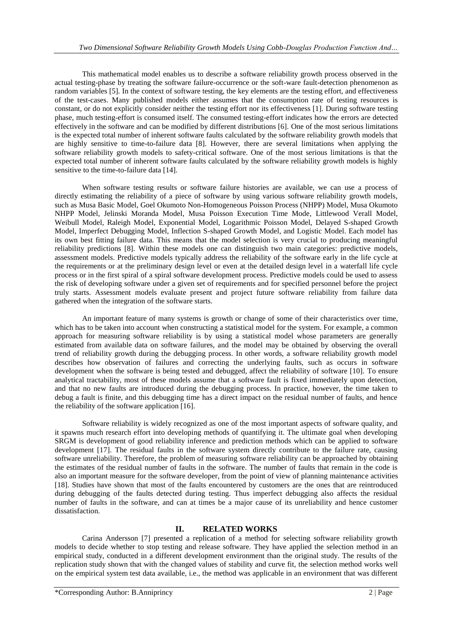This mathematical model enables us to describe a software reliability growth process observed in the actual testing-phase by treating the software failure-occurrence or the soft-ware fault-detection phenomenon as random variables [5]. In the context of software testing, the key elements are the testing effort, and effectiveness of the test-cases. Many published models either assumes that the consumption rate of testing resources is constant, or do not explicitly consider neither the testing effort nor its effectiveness [1]. During software testing phase, much testing-effort is consumed itself. The consumed testing-effort indicates how the errors are detected effectively in the software and can be modified by different distributions [6]. One of the most serious limitations is the expected total number of inherent software faults calculated by the software reliability growth models that are highly sensitive to time-to-failure data [8]. However, there are several limitations when applying the software reliability growth models to safety-critical software. One of the most serious limitations is that the expected total number of inherent software faults calculated by the software reliability growth models is highly sensitive to the time-to-failure data [14].

When software testing results or software failure histories are available, we can use a process of directly estimating the reliability of a piece of software by using various software reliability growth models, such as Musa Basic Model, Goel Okumoto Non-Homogeneous Poisson Process (NHPP) Model, Musa Okumoto NHPP Model, Jelinski Moranda Model, Musa Poisson Execution Time Mode, Littlewood Verall Model, Weibull Model, Raleigh Model, Exponential Model, Logarithmic Poisson Model, Delayed S-shaped Growth Model, Imperfect Debugging Model, Inflection S-shaped Growth Model, and Logistic Model. Each model has its own best fitting failure data. This means that the model selection is very crucial to producing meaningful reliability predictions [8]. Within these models one can distinguish two main categories: predictive models, assessment models. Predictive models typically address the reliability of the software early in the life cycle at the requirements or at the preliminary design level or even at the detailed design level in a waterfall life cycle process or in the first spiral of a spiral software development process. Predictive models could be used to assess the risk of developing software under a given set of requirements and for specified personnel before the project truly starts. Assessment models evaluate present and project future software reliability from failure data gathered when the integration of the software starts.

An important feature of many systems is growth or change of some of their characteristics over time, which has to be taken into account when constructing a statistical model for the system. For example, a common approach for measuring software reliability is by using a statistical model whose parameters are generally estimated from available data on software failures, and the model may be obtained by observing the overall trend of reliability growth during the debugging process. In other words, a software reliability growth model describes how observation of failures and correcting the underlying faults, such as occurs in software development when the software is being tested and debugged, affect the reliability of software [10]. To ensure analytical tractability, most of these models assume that a software fault is fixed immediately upon detection, and that no new faults are introduced during the debugging process. In practice, however, the time taken to debug a fault is finite, and this debugging time has a direct impact on the residual number of faults, and hence the reliability of the software application [16].

Software reliability is widely recognized as one of the most important aspects of software quality, and it spawns much research effort into developing methods of quantifying it. The ultimate goal when developing SRGM is development of good reliability inference and prediction methods which can be applied to software development [17]. The residual faults in the software system directly contribute to the failure rate, causing software unreliability. Therefore, the problem of measuring software reliability can be approached by obtaining the estimates of the residual number of faults in the software. The number of faults that remain in the code is also an important measure for the software developer, from the point of view of planning maintenance activities [18]. Studies have shown that most of the faults encountered by customers are the ones that are reintroduced during debugging of the faults detected during testing. Thus imperfect debugging also affects the residual number of faults in the software, and can at times be a major cause of its unreliability and hence customer dissatisfaction.

# **II. RELATED WORKS**

Carina Andersson [7] presented a replication of a method for selecting software reliability growth models to decide whether to stop testing and release software. They have applied the selection method in an empirical study, conducted in a different development environment than the original study. The results of the replication study shown that with the changed values of stability and curve fit, the selection method works well on the empirical system test data available, i.e., the method was applicable in an environment that was different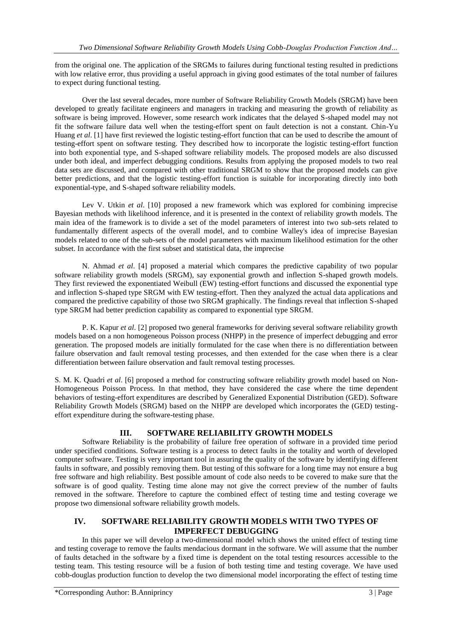from the original one. The application of the SRGMs to failures during functional testing resulted in predictions with low relative error, thus providing a useful approach in giving good estimates of the total number of failures to expect during functional testing.

Over the last several decades, more number of Software Reliability Growth Models (SRGM) have been developed to greatly facilitate engineers and managers in tracking and measuring the growth of reliability as software is being improved. However, some research work indicates that the delayed S-shaped model may not fit the software failure data well when the testing-effort spent on fault detection is not a constant. Chin-Yu Huang *et al.* [1] have first reviewed the logistic testing-effort function that can be used to describe the amount of testing-effort spent on software testing. They described how to incorporate the logistic testing-effort function into both exponential type, and S-shaped software reliability models. The proposed models are also discussed under both ideal, and imperfect debugging conditions. Results from applying the proposed models to two real data sets are discussed, and compared with other traditional SRGM to show that the proposed models can give better predictions, and that the logistic testing-effort function is suitable for incorporating directly into both exponential-type, and S-shaped software reliability models.

Lev V. Utkin *et al*. [10] proposed a new framework which was explored for combining imprecise Bayesian methods with likelihood inference, and it is presented in the context of reliability growth models. The main idea of the framework is to divide a set of the model parameters of interest into two sub-sets related to fundamentally different aspects of the overall model, and to combine Walley's idea of imprecise Bayesian models related to one of the sub-sets of the model parameters with maximum likelihood estimation for the other subset. In accordance with the first subset and statistical data, the imprecise

N. Ahmad *et al*. [4] proposed a material which compares the predictive capability of two popular software reliability growth models (SRGM), say exponential growth and inflection S-shaped growth models. They first reviewed the exponentiated Weibull (EW) testing-effort functions and discussed the exponential type and inflection S-shaped type SRGM with EW testing-effort. Then they analyzed the actual data applications and compared the predictive capability of those two SRGM graphically. The findings reveal that inflection S-shaped type SRGM had better prediction capability as compared to exponential type SRGM.

P. K. Kapur *et al*. [2] proposed two general frameworks for deriving several software reliability growth models based on a non homogeneous Poisson process (NHPP) in the presence of imperfect debugging and error generation. The proposed models are initially formulated for the case when there is no differentiation between failure observation and fault removal testing processes, and then extended for the case when there is a clear differentiation between failure observation and fault removal testing processes.

S. M. K. Quadri *et al*. [6] proposed a method for constructing software reliability growth model based on Non-Homogeneous Poisson Process. In that method, they have considered the case where the time dependent behaviors of testing-effort expenditures are described by Generalized Exponential Distribution (GED). Software Reliability Growth Models (SRGM) based on the NHPP are developed which incorporates the (GED) testingeffort expenditure during the software-testing phase.

# **III. SOFTWARE RELIABILITY GROWTH MODELS**

Software Reliability is the probability of failure free operation of software in a provided time period under specified conditions. Software testing is a process to detect faults in the totality and worth of developed computer software. Testing is very important tool in assuring the quality of the software by identifying different faults in software, and possibly removing them. But testing of this software for a long time may not ensure a bug free software and high reliability. Best possible amount of code also needs to be covered to make sure that the software is of good quality. Testing time alone may not give the correct preview of the number of faults removed in the software. Therefore to capture the combined effect of testing time and testing coverage we propose two dimensional software reliability growth models.

# **IV. SOFTWARE RELIABILITY GROWTH MODELS WITH TWO TYPES OF IMPERFECT DEBUGGING**

In this paper we will develop a two-dimensional model which shows the united effect of testing time and testing coverage to remove the faults mendacious dormant in the software. We will assume that the number of faults detached in the software by a fixed time is dependent on the total testing resources accessible to the testing team. This testing resource will be a fusion of both testing time and testing coverage. We have used cobb-douglas production function to develop the two dimensional model incorporating the effect of testing time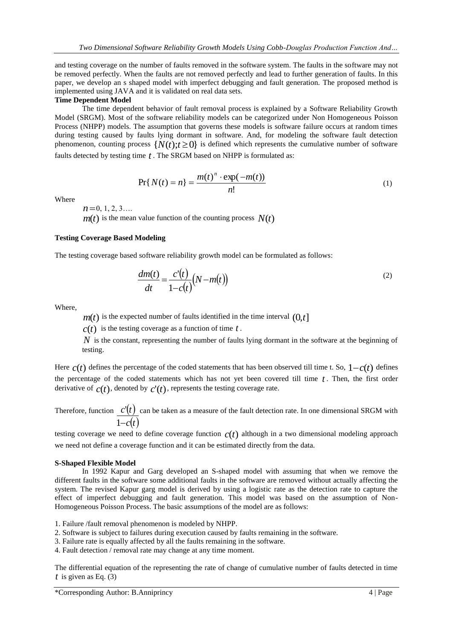and testing coverage on the number of faults removed in the software system. The faults in the software may not be removed perfectly. When the faults are not removed perfectly and lead to further generation of faults. In this paper, we develop an s shaped model with imperfect debugging and fault generation. The proposed method is implemented using JAVA and it is validated on real data sets.

## **Time Dependent Model**

The time dependent behavior of fault removal process is explained by a Software Reliability Growth Model (SRGM). Most of the software reliability models can be categorized under Non Homogeneous Poisson Process (NHPP) models. The assumption that governs these models is software failure occurs at random times during testing caused by faults lying dormant in software. And, for modeling the software fault detection phenomenon, counting process  $\{N(t); t \geq 0\}$  is defined which represents the cumulative number of software faults detected by testing time  $t$ . The SRGM based on NHPP is formulated as:

$$
Pr\{N(t) = n\} = \frac{m(t)^n \cdot \exp(-m(t))}{n!}
$$
 (1)

Where

 $n = 0, 1, 2, 3...$ 

 $m(t)$  is the mean value function of the counting process  $N(t)$ 

# **Testing Coverage Based Modeling**

The testing coverage based software reliability growth model can be formulated as follows:

$$
\frac{dm(t)}{dt} = \frac{c'(t)}{1 - c(t)}(N - m(t))\tag{2}
$$

Where,

 $m(t)$  is the expected number of faults identified in the time interval  $(0,t]$ 

 $c(t)$  is the testing coverage as a function of time  $t$ .

*N* is the constant, representing the number of faults lying dormant in the software at the beginning of testing.

Here  $c(t)$  defines the percentage of the coded statements that has been observed till time t. So,  $1-c(t)$  defines the percentage of the coded statements which has not yet been covered till time *t* . Then, the first order derivative of  $c(t)$ , denoted by  $c'(t)$ , represents the testing coverage rate.

Therefore, function  $c'(t)$  can be taken as a measure of the fault detection rate. In one dimensional SRGM with  $1-c(t)$ 

testing coverage we need to define coverage function *c*(*t*) although in a two dimensional modeling approach we need not define a coverage function and it can be estimated directly from the data.

## **S-Shaped Flexible Model**

In 1992 Kapur and Garg developed an S-shaped model with assuming that when we remove the different faults in the software some additional faults in the software are removed without actually affecting the system. The revised Kapur garg model is derived by using a logistic rate as the detection rate to capture the effect of imperfect debugging and fault generation. This model was based on the assumption of Non-Homogeneous Poisson Process. The basic assumptions of the model are as follows:

1. Failure /fault removal phenomenon is modeled by NHPP.

2. Software is subject to failures during execution caused by faults remaining in the software.

3. Failure rate is equally affected by all the faults remaining in the software.

4. Fault detection / removal rate may change at any time moment.

The differential equation of the representing the rate of change of cumulative number of faults detected in time *t* is given as Eq. (3)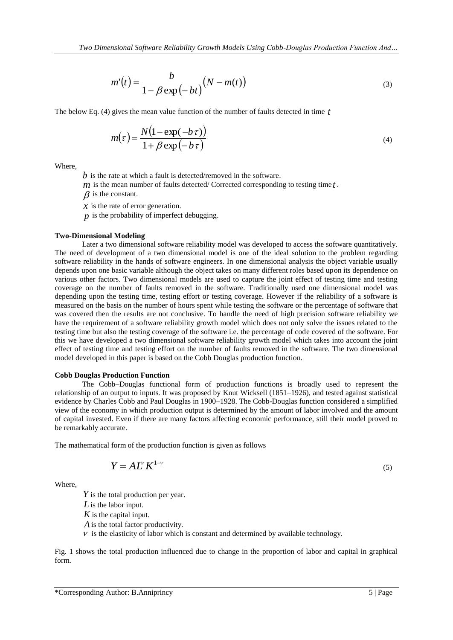$$
m'(t) = \frac{b}{1 - \beta \exp(-bt)} (N - m(t))
$$
\n(3)

The below Eq. (4) gives the mean value function of the number of faults detected in time *t*

$$
m(\tau) = \frac{N(1 - \exp(-b\tau))}{1 + \beta \exp(-b\tau)}
$$
\n(4)

Where,

*b* is the rate at which a fault is detected/removed in the software.

*m* is the mean number of faults detected/ Corrected corresponding to testing time *t* .

 $\beta$  is the constant.

*x* is the rate of error generation.

*p* is the probability of imperfect debugging.

#### **Two-Dimensional Modeling**

Later a two dimensional software reliability model was developed to access the software quantitatively. The need of development of a two dimensional model is one of the ideal solution to the problem regarding software reliability in the hands of software engineers. In one dimensional analysis the object variable usually depends upon one basic variable although the object takes on many different roles based upon its dependence on various other factors. Two dimensional models are used to capture the joint effect of testing time and testing coverage on the number of faults removed in the software. Traditionally used one dimensional model was depending upon the testing time, testing effort or testing coverage. However if the reliability of a software is measured on the basis on the number of hours spent while testing the software or the percentage of software that was covered then the results are not conclusive. To handle the need of high precision software reliability we have the requirement of a software reliability growth model which does not only solve the issues related to the testing time but also the testing coverage of the software i.e. the percentage of code covered of the software. For this we have developed a two dimensional software reliability growth model which takes into account the joint effect of testing time and testing effort on the number of faults removed in the software. The two dimensional model developed in this paper is based on the Cobb Douglas production function.

#### **Cobb Douglas Production Function**

The Cobb–Douglas functional form of production functions is broadly used to represent the relationship of an output to inputs. It was proposed by Knut Wicksell (1851–1926), and tested against statistical evidence by Charles Cobb and Paul Douglas in 1900–1928. The Cobb-Douglas function considered a simplified view of the economy in which production output is determined by the amount of labor involved and the amount of capital invested. Even if there are many factors affecting economic performance, still their model proved to be remarkably accurate.

The mathematical form of the production function is given as follows

$$
Y = A L^{V} K^{1-\nu}
$$

Where,

*Y* is the total production per year. *L* is the labor input. *K* is the capital input. *A* is the total factor productivity.  $V$  is the elasticity of labor which is constant and determined by available technology.

Fig. 1 shows the total production influenced due to change in the proportion of labor and capital in graphical form.

(5)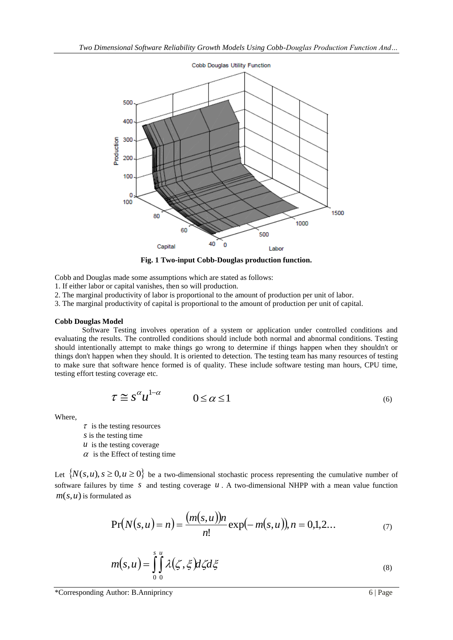

**Fig. 1 Two-input Cobb-Douglas production function.**

Cobb and Douglas made some assumptions which are stated as follows:

- 1. If either labor or capital vanishes, then so will production.
- 2. The marginal productivity of labor is proportional to the amount of production per unit of labor.
- 3. The marginal productivity of capital is proportional to the amount of production per unit of capital.

## **Cobb Douglas Model**

Software Testing involves operation of a system or application under controlled conditions and evaluating the results. The controlled conditions should include both normal and abnormal conditions. Testing should intentionally attempt to make things go wrong to determine if things happen when they shouldn't or things don't happen when they should. It is oriented to detection. The testing team has many resources of testing to make sure that software hence formed is of quality. These include software testing man hours, CPU time, testing effort testing coverage etc.

$$
\tau \cong s^{\alpha} u^{1-\alpha} \qquad 0 \le \alpha \le 1 \tag{6}
$$

Where,

 $\tau$  is the testing resources

*s* is the testing time

- *is the testing coverage*
- $\alpha$  is the Effect of testing time

Let  $\{N(s, u), s \ge 0, u \ge 0\}$  be a two-dimensional stochastic process representing the cumulative number of software failures by time  $s$  and testing coverage  $u$ . A two-dimensional NHPP with a mean value function *m*(*s*,*u*) is formulated as

$$
Pr(N(s, u) = n) = \frac{(m(s, u))n}{n!} \exp(-m(s, u)), n = 0, 1, 2... \tag{7}
$$

$$
m(s, u) = \int_{0}^{s} \int_{0}^{u} \lambda(\zeta, \xi) d\zeta d\xi
$$
 (8)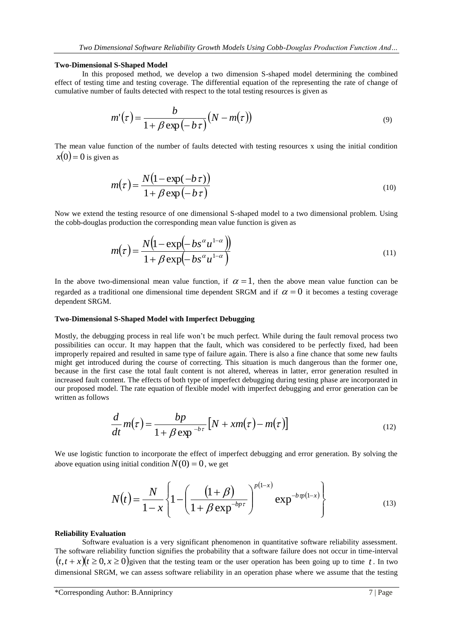#### **Two-Dimensional S-Shaped Model**

In this proposed method, we develop a two dimension S-shaped model determining the combined effect of testing time and testing coverage. The differential equation of the representing the rate of change of cumulative number of faults detected with respect to the total testing resources is given as

$$
m'(\tau) = \frac{b}{1 + \beta \exp(-b\tau)} (N - m(\tau))
$$
\n(9)

The mean value function of the number of faults detected with testing resources x using the initial condition  $x(0)$  = 0 is given as

$$
m(\tau) = \frac{N(1 - \exp(-b\,\tau))}{1 + \beta \exp(-b\,\tau)}
$$
\n(10)

Now we extend the testing resource of one dimensional S-shaped model to a two dimensional problem. Using the cobb-douglas production the corresponding mean value function is given as

$$
m(\tau) = \frac{N(1 - \exp(-bs^{\alpha}u^{1-\alpha}))}{1 + \beta \exp(-bs^{\alpha}u^{1-\alpha})}
$$
\n(11)

In the above two-dimensional mean value function, if  $\alpha = 1$ , then the above mean value function can be regarded as a traditional one dimensional time dependent SRGM and if  $\alpha = 0$  it becomes a testing coverage dependent SRGM.

# **Two-Dimensional S-Shaped Model with Imperfect Debugging**

Mostly, the debugging process in real life won't be much perfect. While during the fault removal process two possibilities can occur. It may happen that the fault, which was considered to be perfectly fixed, had been improperly repaired and resulted in same type of failure again. There is also a fine chance that some new faults might get introduced during the course of correcting. This situation is much dangerous than the former one, because in the first case the total fault content is not altered, whereas in latter, error generation resulted in increased fault content. The effects of both type of imperfect debugging during testing phase are incorporated in our proposed model. The rate equation of flexible model with imperfect debugging and error generation can be written as follows

$$
\frac{d}{dt}m(\tau) = \frac{bp}{1 + \beta \exp^{-b\tau}} \left[ N + xm(\tau) - m(\tau) \right]
$$
\n(12)

We use logistic function to incorporate the effect of imperfect debugging and error generation. By solving the above equation using initial condition  $N(0) = 0$ , we get

$$
N(t) = \frac{N}{1-x} \left\{ 1 - \left( \frac{(1+\beta)}{1+\beta \exp^{-bp\tau}} \right)^{p(1-x)} \exp^{-bp(p(1-x))} \right\}
$$
(13)

#### **Reliability Evaluation**

Software evaluation is a very significant phenomenon in quantitative software reliability assessment. The software reliability function signifies the probability that a software failure does not occur in time-interval  $(t, t + x)(t \ge 0, x \ge 0)$  given that the testing team or the user operation has been going up to time t. In two dimensional SRGM, we can assess software reliability in an operation phase where we assume that the testing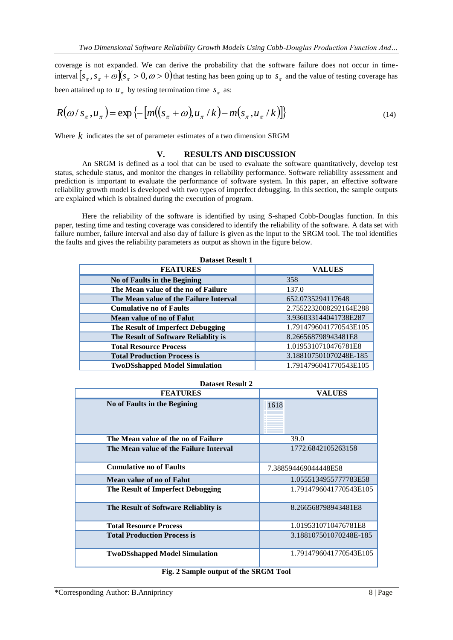coverage is not expanded. We can derive the probability that the software failure does not occur in timeinterval  $[s_x, s_x + \omega][s_x > 0, \omega > 0]$  that testing has been going up to  $s_x$  and the value of testing coverage has been attained up to  $u_{\pi}$  by testing termination time  $s_{\pi}$  as:

$$
R(\omega/s_{\pi}, u_{\pi}) = \exp\left\{-\left[m\left((s_{\pi} + \omega)u_{\pi}/k\right) - m\left(s_{\pi}, u_{\pi}/k\right)\right]\right\}\tag{14}
$$

Where  $k$  indicates the set of parameter estimates of a two dimension SRGM

# **V. RESULTS AND DISCUSSION**

An SRGM is defined as a tool that can be used to evaluate the software quantitatively, develop test status, schedule status, and monitor the changes in reliability performance. Software reliability assessment and prediction is important to evaluate the performance of software system. In this paper, an effective software reliability growth model is developed with two types of imperfect debugging. In this section, the sample outputs are explained which is obtained during the execution of program.

Here the reliability of the software is identified by using S-shaped Cobb-Douglas function. In this paper, testing time and testing coverage was considered to identify the reliability of the software. A data set with failure number, failure interval and also day of failure is given as the input to the SRGM tool. The tool identifies the faults and gives the reliability parameters as output as shown in the figure below.

| <b>Dataset Result 1</b>                |                        |  |  |  |  |
|----------------------------------------|------------------------|--|--|--|--|
| <b>FEATURES</b>                        | <b>VALUES</b>          |  |  |  |  |
| No of Faults in the Begining           | 358                    |  |  |  |  |
| The Mean value of the no of Failure    | 137.0                  |  |  |  |  |
| The Mean value of the Failure Interval | 652.0735294117648      |  |  |  |  |
| <b>Cumulative no of Faults</b>         | 2.7552232008292164E288 |  |  |  |  |
| Mean value of no of Falut              | 3.936033144041738E287  |  |  |  |  |
| The Result of Imperfect Debugging      | 1.7914796041770543E105 |  |  |  |  |
| The Result of Software Reliablity is   | 8.266568798943481E8    |  |  |  |  |
| <b>Total Resource Process</b>          | 1.0195310710476781E8   |  |  |  |  |
| <b>Total Production Process is</b>     | 3.188107501070248E-185 |  |  |  |  |
| <b>TwoDSshapped Model Simulation</b>   | 1.7914796041770543E105 |  |  |  |  |

|  | <b>Dataset Result 2</b> |  |  |
|--|-------------------------|--|--|
|--|-------------------------|--|--|

| <b>FEATURES</b>                        | <b>VALUES</b>          |  |  |  |
|----------------------------------------|------------------------|--|--|--|
| No of Faults in the Begining           | 1618                   |  |  |  |
| The Mean value of the no of Failure    | 39.0                   |  |  |  |
| The Mean value of the Failure Interval | 1772.6842105263158     |  |  |  |
| <b>Cumulative no of Faults</b>         | 7.388594469044448E58   |  |  |  |
| Mean value of no of Falut              | 1.0555134955777783E58  |  |  |  |
| The Result of Imperfect Debugging      | 1.7914796041770543E105 |  |  |  |
| The Result of Software Reliablity is   | 8.266568798943481E8    |  |  |  |
| <b>Total Resource Process</b>          | 1.0195310710476781E8   |  |  |  |
| <b>Total Production Process is</b>     | 3.188107501070248E-185 |  |  |  |
| <b>TwoDSshapped Model Simulation</b>   | 1.7914796041770543E105 |  |  |  |

## **Fig. 2 Sample output of the SRGM Tool**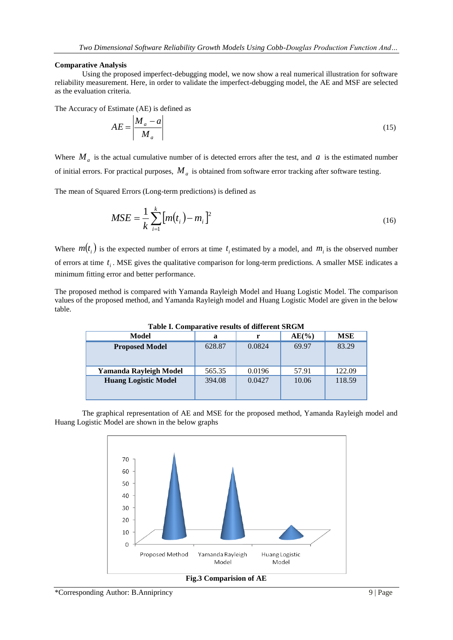## **Comparative Analysis**

Using the proposed imperfect-debugging model, we now show a real numerical illustration for software reliability measurement. Here, in order to validate the imperfect-debugging model, the AE and MSF are selected as the evaluation criteria.

The Accuracy of Estimate (AE) is defined as

$$
AE = \left| \frac{M_a - a}{M_a} \right| \tag{15}
$$

Where  $M_a$  is the actual cumulative number of is detected errors after the test, and  $a$  is the estimated number of initial errors. For practical purposes, *M<sup>a</sup>* is obtained from software error tracking after software testing.

The mean of Squared Errors (Long-term predictions) is defined as

$$
MSE = \frac{1}{k} \sum_{i=1}^{k} [m(t_i) - m_i]^2
$$
 (16)

Where  $m(t_i)$  is the expected number of errors at time  $t_i$  estimated by a model, and  $m_i$  is the observed number of errors at time  $t_i$ . MSE gives the qualitative comparison for long-term predictions. A smaller MSE indicates a minimum fitting error and better performance.

The proposed method is compared with Yamanda Rayleigh Model and Huang Logistic Model. The comparison values of the proposed method, and Yamanda Rayleigh model and Huang Logistic Model are given in the below table.

| Tudie II Combardini Elound of unicrem divolu |        |        |          |            |  |  |
|----------------------------------------------|--------|--------|----------|------------|--|--|
| Model                                        | a      | r      | $AE(\%)$ | <b>MSE</b> |  |  |
| <b>Proposed Model</b>                        | 628.87 | 0.0824 | 69.97    | 83.29      |  |  |
| Yamanda Rayleigh Model                       | 565.35 | 0.0196 | 57.91    | 122.09     |  |  |
| <b>Huang Logistic Model</b>                  | 394.08 | 0.0427 | 10.06    | 118.59     |  |  |

**Table I. Comparative results of different SRGM**

The graphical representation of AE and MSE for the proposed method, Yamanda Rayleigh model and Huang Logistic Model are shown in the below graphs



**Fig.3 Comparision of AE**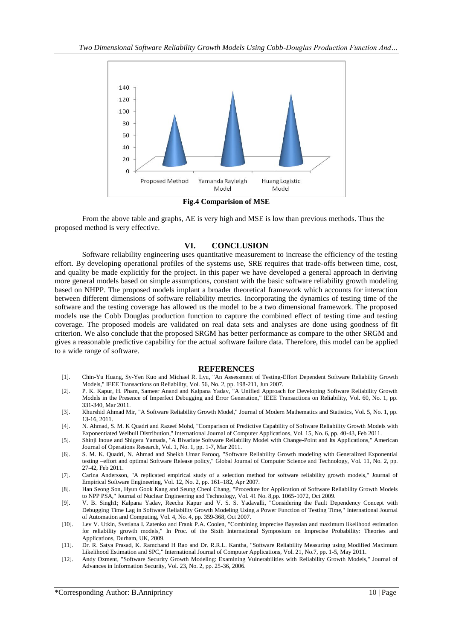

**Fig.4 Comparision of MSE**

From the above table and graphs, AE is very high and MSE is low than previous methods. Thus the proposed method is very effective.

# **VI. CONCLUSION**

Software reliability engineering uses quantitative measurement to increase the efficiency of the testing effort. By developing operational profiles of the systems use, SRE requires that trade-offs between time, cost, and quality be made explicitly for the project. In this paper we have developed a general approach in deriving more general models based on simple assumptions, constant with the basic software reliability growth modeling based on NHPP. The proposed models implant a broader theoretical framework which accounts for interaction between different dimensions of software reliability metrics. Incorporating the dynamics of testing time of the software and the testing coverage has allowed us the model to be a two dimensional framework. The proposed models use the Cobb Douglas production function to capture the combined effect of testing time and testing coverage. The proposed models are validated on real data sets and analyses are done using goodness of fit criterion. We also conclude that the proposed SRGM has better performance as compare to the other SRGM and gives a reasonable predictive capability for the actual software failure data. Therefore, this model can be applied to a wide range of software.

#### **REFERENCES**

- [1]. Chin-Yu Huang, Sy-Yen Kuo and Michael R. Lyu, "An Assessment of Testing-Effort Dependent Software Reliability Growth Models," IEEE Transactions on Reliability, Vol. 56, No. 2, pp. 198-211, Jun 2007.
- [2]. P. K. Kapur, H. Pham, Sameer Anand and Kalpana Yadav, "A Unified Approach for Developing Software Reliability Growth Models in the Presence of Imperfect Debugging and Error Generation," IEEE Transactions on Reliability, Vol. 60, No. 1, pp. 331-340, Mar 2011.
- [3]. Khurshid Ahmad Mir, "A Software Reliability Growth Model," Journal of Modern Mathematics and Statistics, Vol. 5, No. 1, pp. 13-16, 2011.
- [4]. N. Ahmad, S. M. K Quadri and Razeef Mohd, "Comparison of Predictive Capability of Software Reliability Growth Models with Exponentiated Weibull Distribution," International Journal of Computer Applications, Vol. 15, No. 6, pp. 40-43, Feb 2011.
- [5]. Shinji Inoue and Shigeru Yamada, "A Bivariate Software Reliability Model with Change-Point and Its Applications," American Journal of Operations Research, Vol. 1, No. 1, pp. 1-7, Mar 2011.
- [6]. S. M. K. Quadri, N. Ahmad and Sheikh Umar Farooq, "Software Reliability Growth modeling with Generalized Exponential testing –effort and optimal Software Release policy," Global Journal of Computer Science and Technology, Vol. 11, No. 2, pp. 27-42, Feb 2011.
- [7]. Carina Andersson, "A replicated empirical study of a selection method for software reliability growth models," Journal of Empirical Software Engineering, Vol. 12, No. 2, pp. 161–182, Apr 2007.
- [8]. Han Seong Son, Hyun Gook Kang and Seung Cheol Chang, "Procedure for Application of Software Reliability Growth Models to NPP PSA," Journal of Nuclear Engineering and Technology, Vol. 41 No. 8,pp. 1065-1072, Oct 2009.
- [9]. V. B. Singh1; Kalpana Yadav, Reecha Kapur and V. S. S. Yadavalli, "Considering the Fault Dependency Concept with Debugging Time Lag in Software Reliability Growth Modeling Using a Power Function of Testing Time," International Journal of Automation and Computing, Vol. 4, No. 4, pp. 359-368, Oct 2007.
- [10]. Lev V. Utkin, Svetlana I. Zatenko and Frank P.A. Coolen, "Combining imprecise Bayesian and maximum likelihood estimation for reliability growth models," In Proc. of the Sixth International Symposium on Imprecise Probability: Theories and Applications, Durham, UK, 2009.
- [11]. Dr. R. Satya Prasad, K. Ramchand H Rao and Dr. R.R.L. Kantha, "Software Reliability Measuring using Modified Maximum Likelihood Estimation and SPC," International Journal of Computer Applications, Vol. 21, No.7, pp. 1-5, May 2011.
- [12]. Andy Ozment, "Software Security Growth Modeling: Examining Vulnerabilities with Reliability Growth Models," Journal of Advances in Information Security, Vol. 23, No. 2, pp. 25-36, 2006.